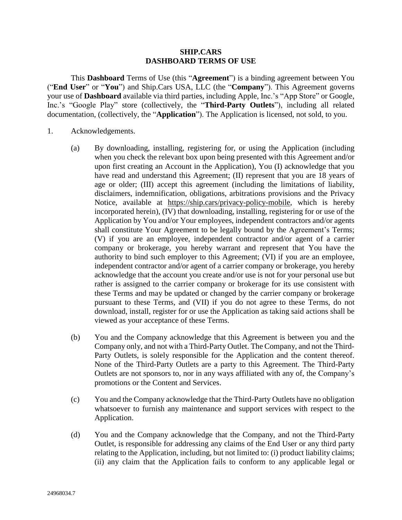#### **SHIP.CARS DASHBOARD TERMS OF USE**

This **Dashboard** Terms of Use (this "**Agreement**") is a binding agreement between You ("**End User**" or "**You**") and Ship.Cars USA, LLC (the "**Company**"). This Agreement governs your use of **Dashboard** available via third parties, including Apple, Inc.'s "App Store" or Google, Inc.'s "Google Play" store (collectively, the "**Third-Party Outlets**"), including all related documentation, (collectively, the "**Application**"). The Application is licensed, not sold, to you.

- 1. Acknowledgements.
	- (a) By downloading, installing, registering for, or using the Application (including when you check the relevant box upon being presented with this Agreement and/or upon first creating an Account in the Application), You (I) acknowledge that you have read and understand this Agreement; (II) represent that you are 18 years of age or older; (III) accept this agreement (including the limitations of liability, disclaimers, indemnification, obligations, arbitrations provisions and the Privacy Notice, available at [https://ship.cars/privacy-policy-mobile,](https://ship.cars/privacy-policy-mobile) which is hereby incorporated herein), (IV) that downloading, installing, registering for or use of the Application by You and/or Your employees, independent contractors and/or agents shall constitute Your Agreement to be legally bound by the Agreement's Terms; (V) if you are an employee, independent contractor and/or agent of a carrier company or brokerage, you hereby warrant and represent that You have the authority to bind such employer to this Agreement; (VI) if you are an employee, independent contractor and/or agent of a carrier company or brokerage, you hereby acknowledge that the account you create and/or use is not for your personal use but rather is assigned to the carrier company or brokerage for its use consistent with these Terms and may be updated or changed by the carrier company or brokerage pursuant to these Terms, and (VII) if you do not agree to these Terms, do not download, install, register for or use the Application as taking said actions shall be viewed as your acceptance of these Terms.
	- (b) You and the Company acknowledge that this Agreement is between you and the Company only, and not with a Third-Party Outlet. The Company, and not the Third-Party Outlets, is solely responsible for the Application and the content thereof. None of the Third-Party Outlets are a party to this Agreement. The Third-Party Outlets are not sponsors to, nor in any ways affiliated with any of, the Company's promotions or the Content and Services.
	- (c) You and the Company acknowledge that the Third-Party Outlets have no obligation whatsoever to furnish any maintenance and support services with respect to the Application.
	- (d) You and the Company acknowledge that the Company, and not the Third-Party Outlet, is responsible for addressing any claims of the End User or any third party relating to the Application, including, but not limited to: (i) product liability claims; (ii) any claim that the Application fails to conform to any applicable legal or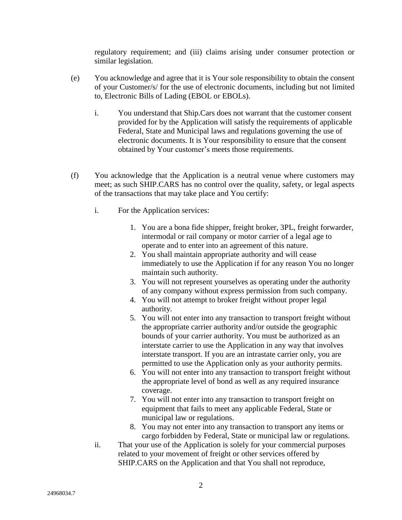regulatory requirement; and (iii) claims arising under consumer protection or similar legislation.

- (e) You acknowledge and agree that it is Your sole responsibility to obtain the consent of your Customer/s/ for the use of electronic documents, including but not limited to, Electronic Bills of Lading (EBOL or EBOLs).
	- i. You understand that Ship.Cars does not warrant that the customer consent provided for by the Application will satisfy the requirements of applicable Federal, State and Municipal laws and regulations governing the use of electronic documents. It is Your responsibility to ensure that the consent obtained by Your customer's meets those requirements.
- (f) You acknowledge that the Application is a neutral venue where customers may meet; as such SHIP.CARS has no control over the quality, safety, or legal aspects of the transactions that may take place and You certify:
	- i. For the Application services:
		- 1. You are a bona fide shipper, freight broker, 3PL, freight forwarder, intermodal or rail company or motor carrier of a legal age to operate and to enter into an agreement of this nature.
		- 2. You shall maintain appropriate authority and will cease immediately to use the Application if for any reason You no longer maintain such authority.
		- 3. You will not represent yourselves as operating under the authority of any company without express permission from such company.
		- 4. You will not attempt to broker freight without proper legal authority.
		- 5. You will not enter into any transaction to transport freight without the appropriate carrier authority and/or outside the geographic bounds of your carrier authority. You must be authorized as an interstate carrier to use the Application in any way that involves interstate transport. If you are an intrastate carrier only, you are permitted to use the Application only as your authority permits.
		- 6. You will not enter into any transaction to transport freight without the appropriate level of bond as well as any required insurance coverage.
		- 7. You will not enter into any transaction to transport freight on equipment that fails to meet any applicable Federal, State or municipal law or regulations.
		- 8. You may not enter into any transaction to transport any items or cargo forbidden by Federal, State or municipal law or regulations.
	- ii. That your use of the Application is solely for your commercial purposes related to your movement of freight or other services offered by SHIP.CARS on the Application and that You shall not reproduce,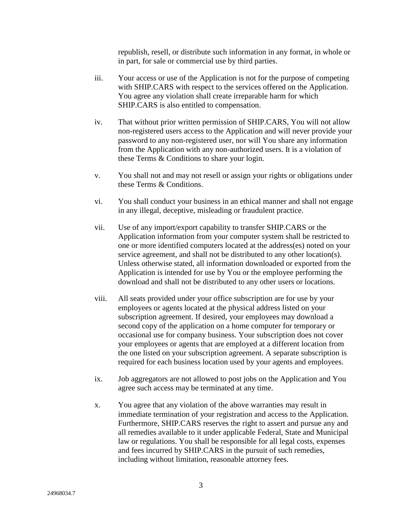republish, resell, or distribute such information in any format, in whole or in part, for sale or commercial use by third parties.

- iii. Your access or use of the Application is not for the purpose of competing with SHIP.CARS with respect to the services offered on the Application. You agree any violation shall create irreparable harm for which SHIP.CARS is also entitled to compensation.
- iv. That without prior written permission of SHIP.CARS, You will not allow non-registered users access to the Application and will never provide your password to any non-registered user, nor will You share any information from the Application with any non-authorized users. It is a violation of these Terms & Conditions to share your login.
- v. You shall not and may not resell or assign your rights or obligations under these Terms & Conditions.
- vi. You shall conduct your business in an ethical manner and shall not engage in any illegal, deceptive, misleading or fraudulent practice.
- vii. Use of any import/export capability to transfer SHIP.CARS or the Application information from your computer system shall be restricted to one or more identified computers located at the address(es) noted on your service agreement, and shall not be distributed to any other location(s). Unless otherwise stated, all information downloaded or exported from the Application is intended for use by You or the employee performing the download and shall not be distributed to any other users or locations.
- viii. All seats provided under your office subscription are for use by your employees or agents located at the physical address listed on your subscription agreement. If desired, your employees may download a second copy of the application on a home computer for temporary or occasional use for company business. Your subscription does not cover your employees or agents that are employed at a different location from the one listed on your subscription agreement. A separate subscription is required for each business location used by your agents and employees.
- ix. Job aggregators are not allowed to post jobs on the Application and You agree such access may be terminated at any time.
- x. You agree that any violation of the above warranties may result in immediate termination of your registration and access to the Application. Furthermore, SHIP.CARS reserves the right to assert and pursue any and all remedies available to it under applicable Federal, State and Municipal law or regulations. You shall be responsible for all legal costs, expenses and fees incurred by SHIP.CARS in the pursuit of such remedies, including without limitation, reasonable attorney fees.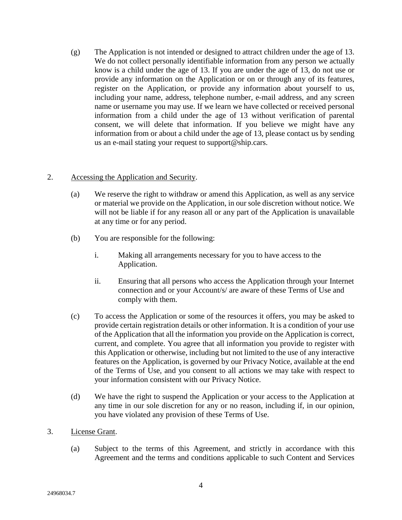(g) The Application is not intended or designed to attract children under the age of 13. We do not collect personally identifiable information from any person we actually know is a child under the age of 13. If you are under the age of 13, do not use or provide any information on the Application or on or through any of its features, register on the Application, or provide any information about yourself to us, including your name, address, telephone number, e-mail address, and any screen name or username you may use. If we learn we have collected or received personal information from a child under the age of 13 without verification of parental consent, we will delete that information. If you believe we might have any information from or about a child under the age of 13, please contact us by sending us an e-mail stating your request to support@ship.cars.

# 2. Accessing the Application and Security.

- (a) We reserve the right to withdraw or amend this Application, as well as any service or material we provide on the Application, in our sole discretion without notice. We will not be liable if for any reason all or any part of the Application is unavailable at any time or for any period.
- (b) You are responsible for the following:
	- i. Making all arrangements necessary for you to have access to the Application.
	- ii. Ensuring that all persons who access the Application through your Internet connection and or your Account/s/ are aware of these Terms of Use and comply with them.
- (c) To access the Application or some of the resources it offers, you may be asked to provide certain registration details or other information. It is a condition of your use of the Application that all the information you provide on the Application is correct, current, and complete. You agree that all information you provide to register with this Application or otherwise, including but not limited to the use of any interactive features on the Application, is governed by our Privacy Notice, available at the end of the Terms of Use, and you consent to all actions we may take with respect to your information consistent with our Privacy Notice.
- (d) We have the right to suspend the Application or your access to the Application at any time in our sole discretion for any or no reason, including if, in our opinion, you have violated any provision of these Terms of Use.
- 3. License Grant.
	- (a) Subject to the terms of this Agreement, and strictly in accordance with this Agreement and the terms and conditions applicable to such Content and Services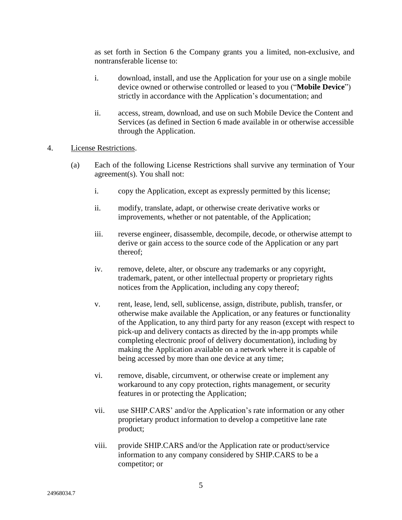as set forth in [Section](#page-6-0) 6 the Company grants you a limited, non-exclusive, and nontransferable license to:

- i. download, install, and use the Application for your use on a single mobile device owned or otherwise controlled or leased to you ("**Mobile Device**") strictly in accordance with the Application's documentation; and
- ii. access, stream, download, and use on such Mobile Device the Content and Services (as defined in Section 6 made available in or otherwise accessible through the Application.
- 4. License Restrictions.
	- (a) Each of the following License Restrictions shall survive any termination of Your agreement(s). You shall not:
		- i. copy the Application, except as expressly permitted by this license;
		- ii. modify, translate, adapt, or otherwise create derivative works or improvements, whether or not patentable, of the Application;
		- iii. reverse engineer, disassemble, decompile, decode, or otherwise attempt to derive or gain access to the source code of the Application or any part thereof;
		- iv. remove, delete, alter, or obscure any trademarks or any copyright, trademark, patent, or other intellectual property or proprietary rights notices from the Application, including any copy thereof;
		- v. rent, lease, lend, sell, sublicense, assign, distribute, publish, transfer, or otherwise make available the Application, or any features or functionality of the Application, to any third party for any reason (except with respect to pick-up and delivery contacts as directed by the in-app prompts while completing electronic proof of delivery documentation), including by making the Application available on a network where it is capable of being accessed by more than one device at any time;
		- vi. remove, disable, circumvent, or otherwise create or implement any workaround to any copy protection, rights management, or security features in or protecting the Application;
		- vii. use SHIP.CARS' and/or the Application's rate information or any other proprietary product information to develop a competitive lane rate product;
		- viii. provide SHIP.CARS and/or the Application rate or product/service information to any company considered by SHIP.CARS to be a competitor; or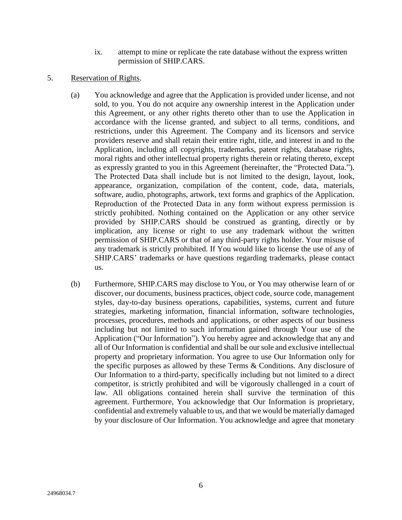- ix. attempt to mine or replicate the rate database without the express written permission of SHIP.CARS.
- 5. Reservation of Rights.
	- (a) You acknowledge and agree that the Application is provided under license, and not sold, to you. You do not acquire any ownership interest in the Application under this Agreement, or any other rights thereto other than to use the Application in accordance with the license granted, and subject to all terms, conditions, and restrictions, under this Agreement. The Company and its licensors and service providers reserve and shall retain their entire right, title, and interest in and to the Application, including all copyrights, trademarks, patent rights, database rights, moral rights and other intellectual property rights therein or relating thereto, except as expressly granted to you in this Agreement (hereinafter, the "Protected Data."). The Protected Data shall include but is not limited to the design, layout, look, appearance, organization, compilation of the content, code, data, materials, software, audio, photographs, artwork, text forms and graphics of the Application. Reproduction of the Protected Data in any form without express permission is strictly prohibited. Nothing contained on the Application or any other service provided by SHIP.CARS should be construed as granting, directly or by implication, any license or right to use any trademark without the written permission of SHIP.CARS or that of any third-party rights holder. Your misuse of any trademark is strictly prohibited. If You would like to license the use of any of SHIP.CARS' trademarks or have questions regarding trademarks, please contact us.
	- (b) Furthermore, SHIP.CARS may disclose to You, or You may otherwise learn of or discover, our documents, business practices, object code, source code, management styles, day-to-day business operations, capabilities, systems, current and future strategies, marketing information, financial information, software technologies, processes, procedures, methods and applications, or other aspects of our business including but not limited to such information gained through Your use of the Application ("Our Information"). You hereby agree and acknowledge that any and all of Our Information is confidential and shall be oursole and exclusive intellectual property and proprietary information. You agree to use Our Information only for the specific purposes as allowed by these Terms & Conditions. Any disclosure of Our Information to a third-party, specifically including but not limited to a direct competitor, is strictly prohibited and will be vigorously challenged in a court of law. All obligations contained herein shall survive the termination of this agreement. Furthermore, You acknowledge that Our Information is proprietary, confidential and extremely valuable to us, and that we would be materially damaged by your disclosure of Our Information. You acknowledge and agree that monetary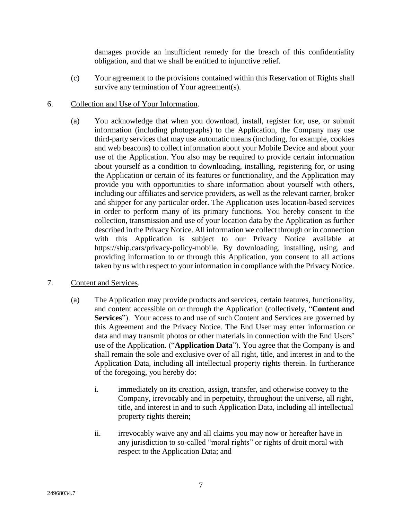damages provide an insufficient remedy for the breach of this confidentiality obligation, and that we shall be entitled to injunctive relief.

- (c) Your agreement to the provisions contained within this Reservation of Rights shall survive any termination of Your agreement(s).
- 6. Collection and Use of Your Information.
	- (a) You acknowledge that when you download, install, register for, use, or submit information (including photographs) to the Application, the Company may use third-party services that may use automatic means (including, for example, cookies and web beacons) to collect information about your Mobile Device and about your use of the Application. You also may be required to provide certain information about yourself as a condition to downloading, installing, registering for, or using the Application or certain of its features or functionality, and the Application may provide you with opportunities to share information about yourself with others, including our affiliates and service providers, as well as the relevant carrier, broker and shipper for any particular order. The Application uses location-based services in order to perform many of its primary functions. You hereby consent to the collection, transmission and use of your location data by the Application as further described in the Privacy Notice. All information we collect through or in connection with this Application is subject to our Privacy Notice available at https://ship.cars/privacy-policy-mobile. By downloading, installing, using, and providing information to or through this Application, you consent to all actions taken by us with respect to your information in compliance with the Privacy Notice.
- <span id="page-6-0"></span>7. Content and Services.
	- (a) The Application may provide products and services, certain features, functionality, and content accessible on or through the Application (collectively, "**Content and Services**"). Your access to and use of such Content and Services are governed by this Agreement and the Privacy Notice. The End User may enter information or data and may transmit photos or other materials in connection with the End Users' use of the Application. ("**Application Data**"). You agree that the Company is and shall remain the sole and exclusive over of all right, title, and interest in and to the Application Data, including all intellectual property rights therein. In furtherance of the foregoing, you hereby do:
		- i. immediately on its creation, assign, transfer, and otherwise convey to the Company, irrevocably and in perpetuity, throughout the universe, all right, title, and interest in and to such Application Data, including all intellectual property rights therein;
		- ii. irrevocably waive any and all claims you may now or hereafter have in any jurisdiction to so-called "moral rights" or rights of droit moral with respect to the Application Data; and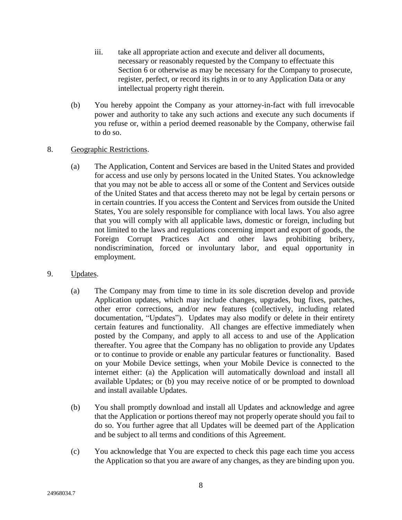- iii. take all appropriate action and execute and deliver all documents, necessary or reasonably requested by the Company to effectuate this Section 6 or otherwise as may be necessary for the Company to prosecute, register, perfect, or record its rights in or to any Application Data or any intellectual property right therein.
- (b) You hereby appoint the Company as your attorney-in-fact with full irrevocable power and authority to take any such actions and execute any such documents if you refuse or, within a period deemed reasonable by the Company, otherwise fail to do so.

# 8. Geographic Restrictions.

- (a) The Application, Content and Services are based in the United States and provided for access and use only by persons located in the United States. You acknowledge that you may not be able to access all or some of the Content and Services outside of the United States and that access thereto may not be legal by certain persons or in certain countries. If you access the Content and Services from outside the United States, You are solely responsible for compliance with local laws. You also agree that you will comply with all applicable laws, domestic or foreign, including but not limited to the laws and regulations concerning import and export of goods, the Foreign Corrupt Practices Act and other laws prohibiting bribery, nondiscrimination, forced or involuntary labor, and equal opportunity in employment.
- 9. Updates.
	- (a) The Company may from time to time in its sole discretion develop and provide Application updates, which may include changes, upgrades, bug fixes, patches, other error corrections, and/or new features (collectively, including related documentation, "Updates"). Updates may also modify or delete in their entirety certain features and functionality. All changes are effective immediately when posted by the Company, and apply to all access to and use of the Application thereafter. You agree that the Company has no obligation to provide any Updates or to continue to provide or enable any particular features or functionality. Based on your Mobile Device settings, when your Mobile Device is connected to the internet either: (a) the Application will automatically download and install all available Updates; or (b) you may receive notice of or be prompted to download and install available Updates.
	- (b) You shall promptly download and install all Updates and acknowledge and agree that the Application or portions thereof may not properly operate should you fail to do so. You further agree that all Updates will be deemed part of the Application and be subject to all terms and conditions of this Agreement.
	- (c) You acknowledge that You are expected to check this page each time you access the Application so that you are aware of any changes, as they are binding upon you.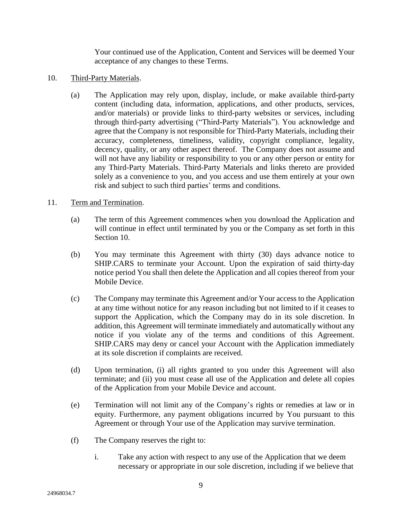Your continued use of the Application, Content and Services will be deemed Your acceptance of any changes to these Terms.

- 10. Third-Party Materials.
	- (a) The Application may rely upon, display, include, or make available third-party content (including data, information, applications, and other products, services, and/or materials) or provide links to third-party websites or services, including through third-party advertising ("Third-Party Materials"). You acknowledge and agree that the Company is not responsible for Third-Party Materials, including their accuracy, completeness, timeliness, validity, copyright compliance, legality, decency, quality, or any other aspect thereof. The Company does not assume and will not have any liability or responsibility to you or any other person or entity for any Third-Party Materials. Third-Party Materials and links thereto are provided solely as a convenience to you, and you access and use them entirely at your own risk and subject to such third parties' terms and conditions.

# 11. Term and Termination.

- (a) The term of this Agreement commences when you download the Application and will continue in effect until terminated by you or the Company as set forth in this Section 10.
- (b) You may terminate this Agreement with thirty (30) days advance notice to SHIP.CARS to terminate your Account. Upon the expiration of said thirty-day notice period You shall then delete the Application and all copies thereof from your Mobile Device.
- (c) The Company may terminate this Agreement and/or Your access to the Application at any time without notice for any reason including but not limited to if it ceases to support the Application, which the Company may do in its sole discretion. In addition, this Agreement will terminate immediately and automatically without any notice if you violate any of the terms and conditions of this Agreement. SHIP.CARS may deny or cancel your Account with the Application immediately at its sole discretion if complaints are received.
- (d) Upon termination, (i) all rights granted to you under this Agreement will also terminate; and (ii) you must cease all use of the Application and delete all copies of the Application from your Mobile Device and account.
- (e) Termination will not limit any of the Company's rights or remedies at law or in equity. Furthermore, any payment obligations incurred by You pursuant to this Agreement or through Your use of the Application may survive termination.
- (f) The Company reserves the right to:
	- i. Take any action with respect to any use of the Application that we deem necessary or appropriate in our sole discretion, including if we believe that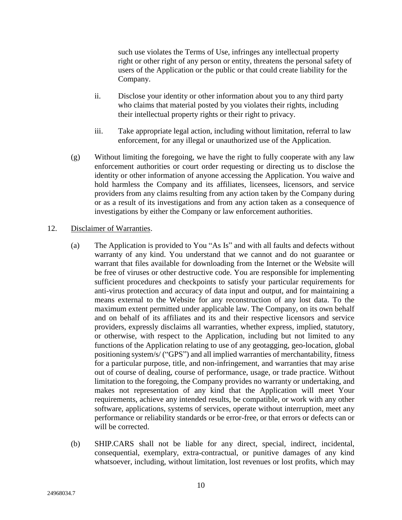such use violates the Terms of Use, infringes any intellectual property right or other right of any person or entity, threatens the personal safety of users of the Application or the public or that could create liability for the Company.

- ii. Disclose your identity or other information about you to any third party who claims that material posted by you violates their rights, including their intellectual property rights or their right to privacy.
- iii. Take appropriate legal action, including without limitation, referral to law enforcement, for any illegal or unauthorized use of the Application.
- (g) Without limiting the foregoing, we have the right to fully cooperate with any law enforcement authorities or court order requesting or directing us to disclose the identity or other information of anyone accessing the Application. You waive and hold harmless the Company and its affiliates, licensees, licensors, and service providers from any claims resulting from any action taken by the Company during or as a result of its investigations and from any action taken as a consequence of investigations by either the Company or law enforcement authorities.

#### 12. Disclaimer of Warranties.

- (a) The Application is provided to You "As Is" and with all faults and defects without warranty of any kind. You understand that we cannot and do not guarantee or warrant that files available for downloading from the Internet or the Website will be free of viruses or other destructive code. You are responsible for implementing sufficient procedures and checkpoints to satisfy your particular requirements for anti-virus protection and accuracy of data input and output, and for maintaining a means external to the Website for any reconstruction of any lost data. To the maximum extent permitted under applicable law. The Company, on its own behalf and on behalf of its affiliates and its and their respective licensors and service providers, expressly disclaims all warranties, whether express, implied, statutory, or otherwise, with respect to the Application, including but not limited to any functions of the Application relating to use of any geotagging, geo-location, global positioning system/s/ ("GPS") and all implied warranties of merchantability, fitness for a particular purpose, title, and non-infringement, and warranties that may arise out of course of dealing, course of performance, usage, or trade practice. Without limitation to the foregoing, the Company provides no warranty or undertaking, and makes not representation of any kind that the Application will meet Your requirements, achieve any intended results, be compatible, or work with any other software, applications, systems of services, operate without interruption, meet any performance or reliability standards or be error-free, or that errors or defects can or will be corrected.
- (b) SHIP.CARS shall not be liable for any direct, special, indirect, incidental, consequential, exemplary, extra-contractual, or punitive damages of any kind whatsoever, including, without limitation, lost revenues or lost profits, which may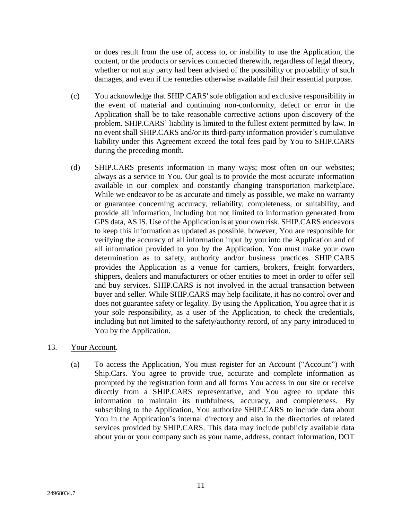or does result from the use of, access to, or inability to use the Application, the content, or the products or services connected therewith, regardless of legal theory, whether or not any party had been advised of the possibility or probability of such damages, and even if the remedies otherwise available fail their essential purpose.

- (c) You acknowledge that SHIP.CARS' sole obligation and exclusive responsibility in the event of material and continuing non-conformity, defect or error in the Application shall be to take reasonable corrective actions upon discovery of the problem. SHIP.CARS' liability is limited to the fullest extent permitted by law. In no event shall SHIP.CARS and/or its third-party information provider's cumulative liability under this Agreement exceed the total fees paid by You to SHIP.CARS during the preceding month.
- (d) SHIP.CARS presents information in many ways; most often on our websites; always as a service to You. Our goal is to provide the most accurate information available in our complex and constantly changing transportation marketplace. While we endeavor to be as accurate and timely as possible, we make no warranty or guarantee concerning accuracy, reliability, completeness, or suitability, and provide all information, including but not limited to information generated from GPS data, AS IS. Use of the Application is at your own risk. SHIP.CARS endeavors to keep this information as updated as possible, however, You are responsible for verifying the accuracy of all information input by you into the Application and of all information provided to you by the Application. You must make your own determination as to safety, authority and/or business practices. SHIP.CARS provides the Application as a venue for carriers, brokers, freight forwarders, shippers, dealers and manufacturers or other entities to meet in order to offer sell and buy services. SHIP.CARS is not involved in the actual transaction between buyer and seller. While SHIP.CARS may help facilitate, it has no control over and does not guarantee safety or legality. By using the Application, You agree that it is your sole responsibility, as a user of the Application, to check the credentials, including but not limited to the safety/authority record, of any party introduced to You by the Application.

### 13. Your Account.

(a) To access the Application, You must register for an Account ("Account") with Ship.Cars. You agree to provide true, accurate and complete information as prompted by the registration form and all forms You access in our site or receive directly from a SHIP.CARS representative, and You agree to update this information to maintain its truthfulness, accuracy, and completeness. By subscribing to the Application, You authorize SHIP.CARS to include data about You in the Application's internal directory and also in the directories of related services provided by SHIP.CARS. This data may include publicly available data about you or your company such as your name, address, contact information, DOT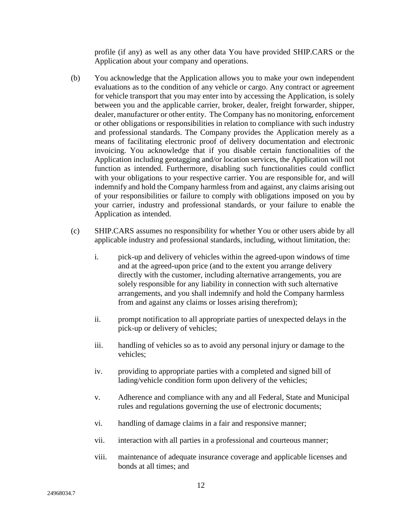profile (if any) as well as any other data You have provided SHIP.CARS or the Application about your company and operations.

- (b) You acknowledge that the Application allows you to make your own independent evaluations as to the condition of any vehicle or cargo. Any contract or agreement for vehicle transport that you may enter into by accessing the Application, is solely between you and the applicable carrier, broker, dealer, freight forwarder, shipper, dealer, manufacturer or other entity. The Company has no monitoring, enforcement or other obligations or responsibilities in relation to compliance with such industry and professional standards. The Company provides the Application merely as a means of facilitating electronic proof of delivery documentation and electronic invoicing. You acknowledge that if you disable certain functionalities of the Application including geotagging and/or location services, the Application will not function as intended. Furthermore, disabling such functionalities could conflict with your obligations to your respective carrier. You are responsible for, and will indemnify and hold the Company harmless from and against, any claims arising out of your responsibilities or failure to comply with obligations imposed on you by your carrier, industry and professional standards, or your failure to enable the Application as intended.
- (c) SHIP.CARS assumes no responsibility for whether You or other users abide by all applicable industry and professional standards, including, without limitation, the:
	- i. pick-up and delivery of vehicles within the agreed-upon windows of time and at the agreed-upon price (and to the extent you arrange delivery directly with the customer, including alternative arrangements, you are solely responsible for any liability in connection with such alternative arrangements, and you shall indemnify and hold the Company harmless from and against any claims or losses arising therefrom);
	- ii. prompt notification to all appropriate parties of unexpected delays in the pick-up or delivery of vehicles;
	- iii. handling of vehicles so as to avoid any personal injury or damage to the vehicles;
	- iv. providing to appropriate parties with a completed and signed bill of lading/vehicle condition form upon delivery of the vehicles;
	- v. Adherence and compliance with any and all Federal, State and Municipal rules and regulations governing the use of electronic documents;
	- vi. handling of damage claims in a fair and responsive manner;
	- vii. interaction with all parties in a professional and courteous manner;
	- viii. maintenance of adequate insurance coverage and applicable licenses and bonds at all times; and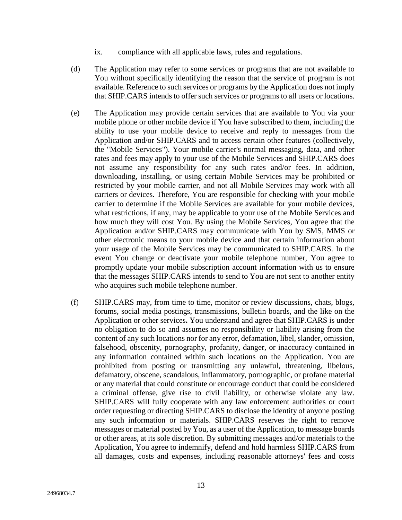- ix. compliance with all applicable laws, rules and regulations.
- (d) The Application may refer to some services or programs that are not available to You without specifically identifying the reason that the service of program is not available. Reference to such services or programs by the Application does not imply that SHIP.CARS intends to offer such services or programs to all users or locations.
- (e) The Application may provide certain services that are available to You via your mobile phone or other mobile device if You have subscribed to them, including the ability to use your mobile device to receive and reply to messages from the Application and/or SHIP.CARS and to access certain other features (collectively, the "Mobile Services"). Your mobile carrier's normal messaging, data, and other rates and fees may apply to your use of the Mobile Services and SHIP.CARS does not assume any responsibility for any such rates and/or fees. In addition, downloading, installing, or using certain Mobile Services may be prohibited or restricted by your mobile carrier, and not all Mobile Services may work with all carriers or devices. Therefore, You are responsible for checking with your mobile carrier to determine if the Mobile Services are available for your mobile devices, what restrictions, if any, may be applicable to your use of the Mobile Services and how much they will cost You. By using the Mobile Services, You agree that the Application and/or SHIP.CARS may communicate with You by SMS, MMS or other electronic means to your mobile device and that certain information about your usage of the Mobile Services may be communicated to SHIP.CARS. In the event You change or deactivate your mobile telephone number, You agree to promptly update your mobile subscription account information with us to ensure that the messages SHIP.CARS intends to send to You are not sent to another entity who acquires such mobile telephone number.
- (f) SHIP.CARS may, from time to time, monitor or review discussions, chats, blogs, forums, social media postings, transmissions, bulletin boards, and the like on the Application or other services**.** You understand and agree that SHIP.CARS is under no obligation to do so and assumes no responsibility or liability arising from the content of any such locations nor for any error, defamation, libel, slander, omission, falsehood, obscenity, pornography, profanity, danger, or inaccuracy contained in any information contained within such locations on the Application. You are prohibited from posting or transmitting any unlawful, threatening, libelous, defamatory, obscene, scandalous, inflammatory, pornographic, or profane material or any material that could constitute or encourage conduct that could be considered a criminal offense, give rise to civil liability, or otherwise violate any law. SHIP.CARS will fully cooperate with any law enforcement authorities or court order requesting or directing SHIP.CARS to disclose the identity of anyone posting any such information or materials. SHIP.CARS reserves the right to remove messages or material posted by You, as a user of the Application, to message boards or other areas, at its sole discretion. By submitting messages and/or materials to the Application, You agree to indemnify, defend and hold harmless SHIP.CARS from all damages, costs and expenses, including reasonable attorneys' fees and costs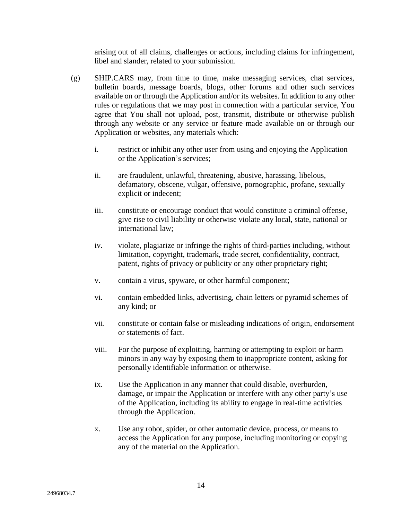arising out of all claims, challenges or actions, including claims for infringement, libel and slander, related to your submission.

- (g) SHIP.CARS may, from time to time, make messaging services, chat services, bulletin boards, message boards, blogs, other forums and other such services available on or through the Application and/or its websites. In addition to any other rules or regulations that we may post in connection with a particular service, You agree that You shall not upload, post, transmit, distribute or otherwise publish through any website or any service or feature made available on or through our Application or websites, any materials which:
	- i. restrict or inhibit any other user from using and enjoying the Application or the Application's services;
	- ii. are fraudulent, unlawful, threatening, abusive, harassing, libelous, defamatory, obscene, vulgar, offensive, pornographic, profane, sexually explicit or indecent;
	- iii. constitute or encourage conduct that would constitute a criminal offense, give rise to civil liability or otherwise violate any local, state, national or international law;
	- iv. violate, plagiarize or infringe the rights of third-parties including, without limitation, copyright, trademark, trade secret, confidentiality, contract, patent, rights of privacy or publicity or any other proprietary right;
	- v. contain a virus, spyware, or other harmful component;
	- vi. contain embedded links, advertising, chain letters or pyramid schemes of any kind; or
	- vii. constitute or contain false or misleading indications of origin, endorsement or statements of fact.
	- viii. For the purpose of exploiting, harming or attempting to exploit or harm minors in any way by exposing them to inappropriate content, asking for personally identifiable information or otherwise.
	- ix. Use the Application in any manner that could disable, overburden, damage, or impair the Application or interfere with any other party's use of the Application, including its ability to engage in real-time activities through the Application.
	- x. Use any robot, spider, or other automatic device, process, or means to access the Application for any purpose, including monitoring or copying any of the material on the Application.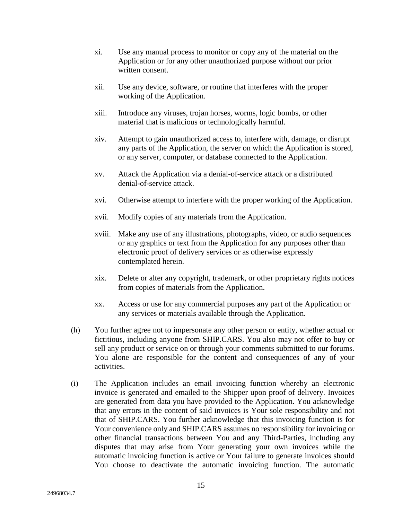- xi. Use any manual process to monitor or copy any of the material on the Application or for any other unauthorized purpose without our prior written consent.
- xii. Use any device, software, or routine that interferes with the proper working of the Application.
- xiii. Introduce any viruses, trojan horses, worms, logic bombs, or other material that is malicious or technologically harmful.
- xiv. Attempt to gain unauthorized access to, interfere with, damage, or disrupt any parts of the Application, the server on which the Application is stored, or any server, computer, or database connected to the Application.
- xv. Attack the Application via a denial-of-service attack or a distributed denial-of-service attack.
- xvi. Otherwise attempt to interfere with the proper working of the Application.
- xvii. Modify copies of any materials from the Application.
- xviii. Make any use of any illustrations, photographs, video, or audio sequences or any graphics or text from the Application for any purposes other than electronic proof of delivery services or as otherwise expressly contemplated herein.
- xix. Delete or alter any copyright, trademark, or other proprietary rights notices from copies of materials from the Application.
- xx. Access or use for any commercial purposes any part of the Application or any services or materials available through the Application.
- (h) You further agree not to impersonate any other person or entity, whether actual or fictitious, including anyone from SHIP.CARS. You also may not offer to buy or sell any product or service on or through your comments submitted to our forums. You alone are responsible for the content and consequences of any of your activities.
- (i) The Application includes an email invoicing function whereby an electronic invoice is generated and emailed to the Shipper upon proof of delivery. Invoices are generated from data you have provided to the Application. You acknowledge that any errors in the content of said invoices is Your sole responsibility and not that of SHIP.CARS. You further acknowledge that this invoicing function is for Your convenience only and SHIP.CARS assumes no responsibility for invoicing or other financial transactions between You and any Third-Parties, including any disputes that may arise from Your generating your own invoices while the automatic invoicing function is active or Your failure to generate invoices should You choose to deactivate the automatic invoicing function. The automatic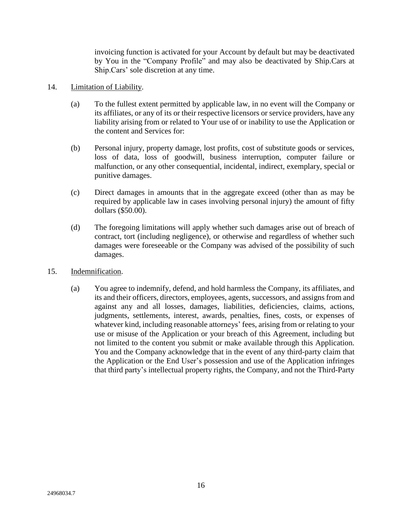invoicing function is activated for your Account by default but may be deactivated by You in the "Company Profile" and may also be deactivated by Ship.Cars at Ship.Cars' sole discretion at any time.

### 14. Limitation of Liability.

- (a) To the fullest extent permitted by applicable law, in no event will the Company or its affiliates, or any of its or their respective licensors or service providers, have any liability arising from or related to Your use of or inability to use the Application or the content and Services for:
- (b) Personal injury, property damage, lost profits, cost of substitute goods or services, loss of data, loss of goodwill, business interruption, computer failure or malfunction, or any other consequential, incidental, indirect, exemplary, special or punitive damages.
- (c) Direct damages in amounts that in the aggregate exceed (other than as may be required by applicable law in cases involving personal injury) the amount of fifty dollars (\$50.00).
- (d) The foregoing limitations will apply whether such damages arise out of breach of contract, tort (including negligence), or otherwise and regardless of whether such damages were foreseeable or the Company was advised of the possibility of such damages.
- 15. Indemnification.
	- (a) You agree to indemnify, defend, and hold harmless the Company, its affiliates, and its and their officers, directors, employees, agents, successors, and assigns from and against any and all losses, damages, liabilities, deficiencies, claims, actions, judgments, settlements, interest, awards, penalties, fines, costs, or expenses of whatever kind, including reasonable attorneys' fees, arising from or relating to your use or misuse of the Application or your breach of this Agreement, including but not limited to the content you submit or make available through this Application. You and the Company acknowledge that in the event of any third-party claim that the Application or the End User's possession and use of the Application infringes that third party's intellectual property rights, the Company, and not the Third-Party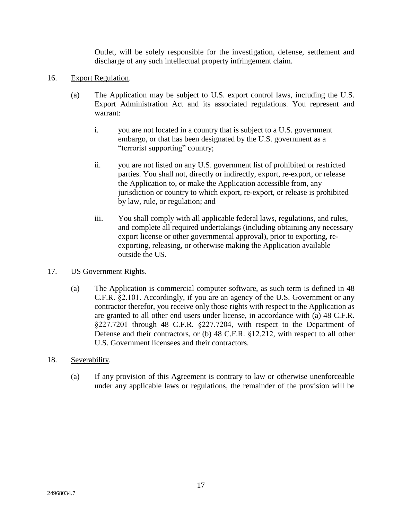Outlet, will be solely responsible for the investigation, defense, settlement and discharge of any such intellectual property infringement claim.

- 16. Export Regulation.
	- (a) The Application may be subject to U.S. export control laws, including the U.S. Export Administration Act and its associated regulations. You represent and warrant:
		- i. you are not located in a country that is subject to a U.S. government embargo, or that has been designated by the U.S. government as a "terrorist supporting" country;
		- ii. you are not listed on any U.S. government list of prohibited or restricted parties. You shall not, directly or indirectly, export, re-export, or release the Application to, or make the Application accessible from, any jurisdiction or country to which export, re-export, or release is prohibited by law, rule, or regulation; and
		- iii. You shall comply with all applicable federal laws, regulations, and rules, and complete all required undertakings (including obtaining any necessary export license or other governmental approval), prior to exporting, reexporting, releasing, or otherwise making the Application available outside the US.
- 17. US Government Rights.
	- (a) The Application is commercial computer software, as such term is defined in 48 C.F.R. §2.101. Accordingly, if you are an agency of the U.S. Government or any contractor therefor, you receive only those rights with respect to the Application as are granted to all other end users under license, in accordance with (a) 48 C.F.R. §227.7201 through 48 C.F.R. §227.7204, with respect to the Department of Defense and their contractors, or (b) 48 C.F.R. §12.212, with respect to all other U.S. Government licensees and their contractors.
- 18. Severability.
	- (a) If any provision of this Agreement is contrary to law or otherwise unenforceable under any applicable laws or regulations, the remainder of the provision will be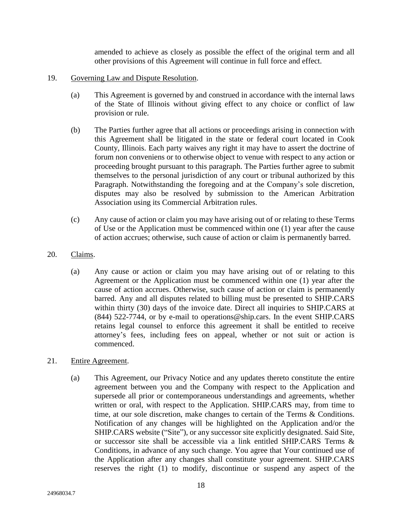amended to achieve as closely as possible the effect of the original term and all other provisions of this Agreement will continue in full force and effect.

- 19. Governing Law and Dispute Resolution.
	- (a) This Agreement is governed by and construed in accordance with the internal laws of the State of Illinois without giving effect to any choice or conflict of law provision or rule.
	- (b) The Parties further agree that all actions or proceedings arising in connection with this Agreement shall be litigated in the state or federal court located in Cook County, Illinois. Each party waives any right it may have to assert the doctrine of forum non conveniens or to otherwise object to venue with respect to any action or proceeding brought pursuant to this paragraph. The Parties further agree to submit themselves to the personal jurisdiction of any court or tribunal authorized by this Paragraph. Notwithstanding the foregoing and at the Company's sole discretion, disputes may also be resolved by submission to the American Arbitration Association using its Commercial Arbitration rules.
	- (c) Any cause of action or claim you may have arising out of or relating to these Terms of Use or the Application must be commenced within one (1) year after the cause of action accrues; otherwise, such cause of action or claim is permanently barred.
- 20. Claims.
	- (a) Any cause or action or claim you may have arising out of or relating to this Agreement or the Application must be commenced within one (1) year after the cause of action accrues. Otherwise, such cause of action or claim is permanently barred. Any and all disputes related to billing must be presented to SHIP.CARS within thirty (30) days of the invoice date. Direct all inquiries to SHIP.CARS at (844) 522-7744, or by e-mail to operations@ship.cars. In the event SHIP.CARS retains legal counsel to enforce this agreement it shall be entitled to receive attorney's fees, including fees on appeal, whether or not suit or action is commenced.
- 21. Entire Agreement.
	- (a) This Agreement, our Privacy Notice and any updates thereto constitute the entire agreement between you and the Company with respect to the Application and supersede all prior or contemporaneous understandings and agreements, whether written or oral, with respect to the Application. SHIP.CARS may, from time to time, at our sole discretion, make changes to certain of the Terms & Conditions. Notification of any changes will be highlighted on the Application and/or the SHIP.CARS website ("Site"), or any successor site explicitly designated. Said Site, or successor site shall be accessible via a link entitled SHIP.CARS Terms & Conditions, in advance of any such change. You agree that Your continued use of the Application after any changes shall constitute your agreement. SHIP.CARS reserves the right (1) to modify, discontinue or suspend any aspect of the